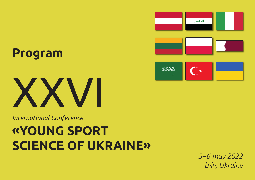





*International Conference* 

# **«YOUNG SPORT SCIENCE OF UKRAINE»**

*5–6 may 2022 Lviv, Ukraine*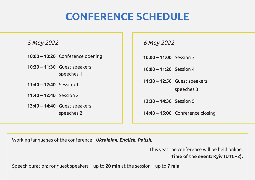## **CONFERENCE SCHEDULE**

#### *5 May 2022*

- **10:00 10:20** Conference opening
- **10:30 11:30** Guest speakers' speeches 1
- **11:40 12:40** Session 1
- **11:40 12:40** Session 2
- **13:40 14:40** Guest speakers' speeches 2

*6 May 2022*

**10:00 – 11:00** Session 3

**10:00 – 11:20** Session 4

**11:30 – 12:50** Guest speakers'

speeches 3

**13:30 – 14:30** Session 5

**14:40 – 15:00** Conference closing

Working languages of the conference - *Ukrainian*, *English*, *Polish*.

This year the conference will be held online.

**Time of the event: Kyiv (UTC+2).**

Speech duration: for guest speakers – up to **20 min** at the session – up to **7 min**.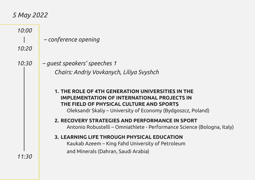### *5 May 2022*

| 10:00<br>10:20 | - conference opening                                                                                                                                                                                                |
|----------------|---------------------------------------------------------------------------------------------------------------------------------------------------------------------------------------------------------------------|
| 10:30          | - guest speakers' speeches 1<br>Chairs: Andriy Vovkanych, Liliya Svyshch                                                                                                                                            |
|                | 1. THE ROLE OF 4TH GENERATION UNIVERSITIES IN THE<br><b>IMPLEMENTATION OF INTERNATIONAL PROJECTS IN</b><br>THE FIELD OF PHYSICAL CULTURE AND SPORTS<br>Oleksandr Skaliy – University of Economy (Bydgoszcz, Poland) |
|                | 2. RECOVERY STRATEGIES AND PERFORMANCE IN SPORT<br>Antonio Robustelli – Omniathlete - Performance Science (Bologna, Italy)                                                                                          |
| 11:30          | 3. LEARNING LIFE THROUGH PHYSICAL EDUCATION<br>Kaukab Azeem – King Fahd University of Petroleum<br>and Minerals (Dahran, Saudi Arabia)                                                                              |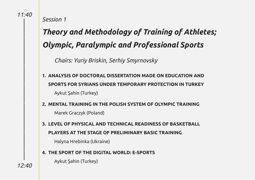|

|

|

|

|

|

|

|

|

|

|

|

|

|

*Session 1*

## *Theory and Methodology of Training of Athletes; Olympic, Paralympic and Professional Sports*

*Chairs: Yuriy Briskin, Serhiy Smyrnovsky*

- **1. ANALYSIS OF DOCTORAL DISSERTATION MADE ON EDUCATION AND SPORTS FOR SYRIANS UNDER TEMPORARY PROTECTION IN TURKEY** Aykut Şahin (Turkey)
- **2. MENTAL TRAINING IN THE POLISH SYSTEM OF OLYMPIC TRAINING** Marek Graczyk (Poland)
- **3. LEVEL OF PHYSICAL AND TECHNICAL READINESS OF BASKETBALL PLAYERS AT THE STAGE OF PRELIMINARY BASIC TRAINING**

Halyna Hrebinka (Ukraine)

#### **4. THE SPORT OF THE DIGITAL WORLD: E-SPORTS**

Aykut Şahin (Turkey)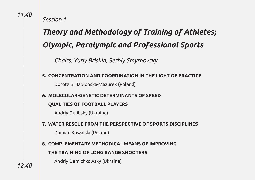|

|

|

|

|

|

|

|

|

|

|

|

|

|

*Session 1*

## *Theory and Methodology of Training of Athletes; Olympic, Paralympic and Professional Sports*

*Chairs: Yuriy Briskin, Serhiy Smyrnovsky*

#### **5. CONCENTRATION AND COORDINATION IN THE LIGHT OF PRACTICE**

Dorota B. Jabłońska-Mazurek (Poland)

#### **6. MOLECULAR-GENETIC DETERMINANTS OF SPEED**

#### **QUALITIES OF FOOTBALL PLAYERS**

Andriy Dulibsky (Ukraine)

#### **7. WATER RESCUE FROM THE PERSPECTIVE OF SPORTS DISCIPLINES**

Damian Kowalski (Poland)

### **8. COMPLEMENTARY METHODICAL MEANS OF IMPROVING THE TRAINING OF LONG RANGE SHOOTERS**

Andriy Demichkowsky (Ukraine)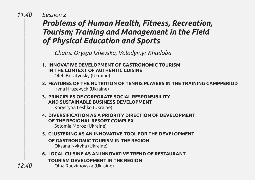|

|

|

|

|

|

|

|

|

|

|

|

|

|

|

### *Session 2 Problems of Human Health, Fitness, Recreation, Tourism; Training and Management in the Field of Physical Education and Sports*

*Chairs: Orysya Izhevska, Volodymyr Khudoba* 

**1. INNOVATIVE DEVELOPMENT OF GASTRONOMIC TOURISM IN THE CONTEXT OF AUTHENTIC CUISINE**

Oleh Boratynsky (Ukraine)

- **2. FEATURES OF THE NUTRITION OF TENNIS PLAYERS IN THE TRAINING CAMPPERIOD** Iryna Hruzevych (Ukraine)
- **3. PRINCIPLES OF CORPORATE SOCIAL RESPONSIBILITY AND SUSTAINABLE BUSINESS DEVELOPMENT** Khrystyna Leshko (Ukraine)
- **4. DIVERSIFICATION AS A PRIORITY DIRECTION OF DEVELOPMENT OF THE REGIONAL RESORT COMPLEX**  Solomia Moroz (Ukraine)
- **5. CLUSTERING AS AN INNOVATIVE TOOL FOR THE DEVELOPMENT OF GASTRONOMIC TOURISM IN THE REGION** Oksana Nykyha (Ukraine)
- **6. LOCAL CUISINE AS AN INNOVATIVE TREND OF RESTAURANT TOURISM DEVELOPMENT IN THE REGION** Olha Radzimovska (Ukraine)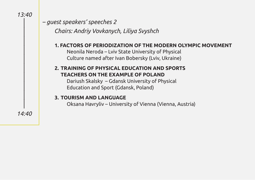|

|

|

|

|

|

|

|

|

*– guest speakers' speeches 2*

*Chairs: Andriy Vovkanych, Liliya Svyshch* 

#### **1. FACTORS OF PERIODIZATION OF THE MODERN OLYMPIC MOVEMENT**

Neonila Neroda – Lviv State University of Physical Culture named after Ivan Bobersky (Lviv, Ukraine)

#### **2. TRAINING OF PHYSICAL EDUCATION AND SPORTS TEACHERS ON THE EXAMPLE OF POLAND**

Dariush Skalsky – Gdansk University of Physical Education and Sport (Gdansk, Poland)

#### **3. TOURISM AND LANGUAGE**

Oksana Havryliv – University of Vienna (Vienna, Austria)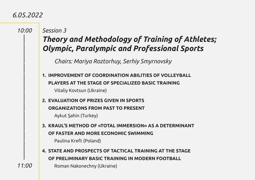### *6.05.2022*

|

|

|

|

|

|

|

|

|

|

|

|

|

#### *Session 3*

### *Theory and Methodology of Training of Athletes; Olympic, Paralympic and Professional Sports*

*Chairs: Mariya Roztorhuy, Serhiy Smyrnovsky*

**1. IMPROVEMENT OF COORDINATION ABILITIES OF VOLLEYBALL PLAYERS AT THE STAGE OF SPECIALIZED BASIC TRAINING** Vitaliy Kovtsun (Ukraine)

**2. EVALUATION OF PRIZES GIVEN IN SPORTS ORGANIZATIONS FROM PAST TO PRESENT**

Aykut Şahin (Turkey)

**3. KRAUL'S METHOD OF «TOTAL IMMERSION» AS A DETERMINANT OF FASTER AND MORE ECONOMIC SWIMMING**

Paulina Kreft (Poland)

**4. STATE AND PROSPECTS OF TACTICAL TRAINING AT THE STAGE OF PRELIMINARY BASIC TRAINING IN MODERN FOOTBALL**

Roman Nakonechny (Ukraine)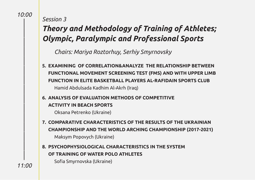|

|

|

|

|

|

|

|

|

|

|

|

|

|

|

#### *Session 3*

### *Theory and Methodology of Training of Athletes; Olympic, Paralympic and Professional Sports*

*Chairs: Mariya Roztorhuy, Serhiy Smyrnovsky*

- **5. EXAMINING OF CORRELATION&ANALYZE THE RELATIONSHIP BETWEEN FUNCTIONAL MOVEMENT SCREENING TEST (FMS) AND WITH UPPER LIMB FUNCTION IN ELITE BASKETBALL PLAYERS AL-RAFIDAIN SPORTS CLUB**  Hamid Abdulsada Kadhim Al-Akrh (Iraq)
- **6. ANALYSIS OF EVALUATION METHODS OF COMPETITIVE ACTIVITY IN BEACH SPORTS**

Oksana Petrenko (Ukraine)

- **7. COMPARATIVE CHARACTERISTICS OF THE RESULTS OF THE UKRAINIAN CHAMPIONSHIP AND THE WORLD ARCHING CHAMPIONSHIP (2017-2021)** Maksym Popovych (Ukraine)
- **8. PSYCHOPHYSIOLOGICAL CHARACTERISTICS IN THE SYSTEM OF TRAINING OF WATER POLO ATHLETES**

Sofia Smyrnovska (Ukraine)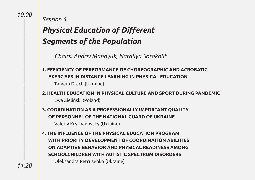|

|

|

|

|

|

|

|

|

|

|

|

|

|

|

*Session 4*

## *Physical Education of Different Segments of the Population*

*Chairs: Andriy Mandyuk, Nataliya Sorokolit*

- **1. EFFICIENCY OF PERFORMANCE OF CHOREOGRAPHIC AND ACROBATIC EXERCISES IN DISTANCE LEARNING IN PHYSICAL EDUCATION** Tamara Drach (Ukraine)
- **2. HEALTH EDUCATION IN PHYSICAL CULTURE AND SPORT DURING PANDEMIC** Ewa Zieliński (Poland)
- **3. COORDINATION AS A PROFESSIONALLY IMPORTANT QUALITY OF PERSONNEL OF THE NATIONAL GUARD OF UKRAINE** Valeriy Kryzhanovsky (Ukraine)
- **4. THE INFLUENCE OF THE PHYSICAL EDUCATION PROGRAM WITH PRIORITY DEVELOPMENT OF COORDINATION ABILITIES ON ADAPTIVE BEHAVIOR AND PHYSICAL READINESS AMONG SCHOOLCHILDREN WITH AUTISTIC SPECTRUM DISORDERS** Oleksandra Petrusenko (Ukraine)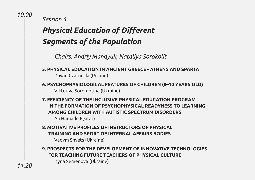|

|

|

|

|

|

|

|

|

|

|

|

|

|

|

*Session 4*

## *Physical Education of Different Segments of the Population*

*Chairs: Andriy Mandyuk, Nataliya Sorokolit*

- **5. PHYSICAL EDUCATION IN ANCIENT GREECE ATHENS AND SPARTA** Dawid Czarnecki (Poland)
- **6. PSYCHOPHYSIOLOGICAL FEATURES OF CHILDREN (8–10 YEARS OLD)** Viktoriya Soromotina (Ukraine)
- **7. EFFICIENCY OF THE INCLUSIVE PHYSICAL EDUCATION PROGRAM IN THE FORMATION OF PSYCHOPHYSICAL READYNESS TO LEARNING AMONG CHILDREN WITH AUTISTIC SPECTRUM DISORDERS** Ali Hamade (Qatar)
- **8. MOTIVATIVE PROFILES OF INSTRUCTORS OF PHYSICAL TRAINING AND SPORT OF INTERNAL AFFAIRS BODIES** Vadym Shvets (Ukraine)
- **9. PROSPECTS FOR THE DEVELOPMENT OF INNOVATIVE TECHNOLOGIES FOR TEACHING FUTURE TEACHERS OF PHYSICAL CULTURE**

Iryna Semenova (Ukraine)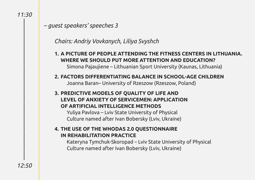|

|

|

|

|

|

|

|

|

|

|

|

|

|

 *– guest speakers' speeches 3*

#### *Chairs: Andriy Vovkanych, Liliya Svyshch*

- **1. A PICTURE OF PEOPLE ATTENDING THE FITNESS CENTERS IN LITHUANIA. WHERE WE SHOULD PUT MORE ATTENTION AND EDUCATION?** Simona Pajaujiene – Lithuanian Sport University (Kaunas, Lithuania)
- **2. FACTORS DIFFERENTIATING BALANCE IN SCHOOL-AGE CHILDREN** Joanna Baran– University of Rzeszow (Rzeszow, Poland)
- **3. PREDICTIVE MODELS OF QUALITY OF LIFE AND LEVEL OF ANXIETY OF SERVICEMEN: APPLICATION OF ARTIFICIAL INTELLIGENCE METHODS**

Yuliya Pavlova – Lviv State University of Physical Culture named after Ivan Bobersky (Lviv, Ukraine)

#### **4. THE USE OF THE WHODAS 2.0 QUESTIONNAIRE IN REHABILITATION PRACTICE**

Kateryna Tymchuk-Skoropad – Lviv State University of Physical Culture named after Ivan Bobersky (Lviv, Ukraine)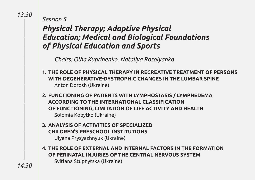|

|

|

|

|

|

|

|

|

|

|

|

|

|

|

*Session 5*

### *Physical Therapy; Adaptive Physical Education; Medical and Biological Foundations of Physical Education and Sports*

*Chairs: Оlha Kuprinenko, Nataliya Rosolyanka* 

- **1. THE ROLE OF PHYSICAL THERAPY IN RECREATIVE TREATMENT OF PERSONS WITH DEGENERATIVE-DYSTROPHIC CHANGES IN THE LUMBAR SPINE** Anton Dorosh (Ukraine)
- **2. FUNCTIONING OF PATIENTS WITH LYMPHOSTASIS / LYMPHEDEMA ACCORDING TO THE INTERNATIONAL CLASSIFICATION OF FUNCTIONING, LIMITATION OF LIFE ACTIVITY AND HEALTH** Solomia Kopytko (Ukraine)
- **3. ANALYSIS OF ACTIVITIES OF SPECIALIZED CHILDREN'S PRESCHOOL INSTITUTIONS** Ulyana Prysyazhnyuk (Ukraine)
- **4. THE ROLE OF EXTERNAL AND INTERNAL FACTORS IN THE FORMATION OF PERINATAL INJURIES OF THE CENTRAL NERVOUS SYSTEM** Svitlana Stupnytska (Ukraine)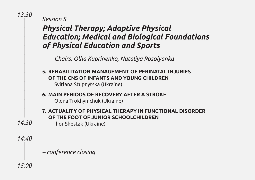|

|

|

|

|

|

|

|

|

|

|

### *Physical Therapy; Adaptive Physical Education; Medical and Biological Foundations of Physical Education and Sports*

*Chairs: Оlha Kuprinenko, Nataliya Rosolyanka* 

- **5. REHABILITATION MANAGEMENT OF PERINATAL INJURIES OF THE CNS OF INFANTS AND YOUNG CHILDREN** Svitlana Stupnytska (Ukraine)
- **6. MAIN PERIODS OF RECOVERY AFTER A STROKE** Olena Trokhymchuk (Ukraine)
- **7. ACTUALITY OF PHYSICAL THERAPY IN FUNCTIONAL DISORDER OF THE FOOT OF JUNIOR SCHOOLCHILDREN**  Ihor Shestak (Ukraine)

*14:30*

*14:40* |

*– conference closing*

| *15:00*